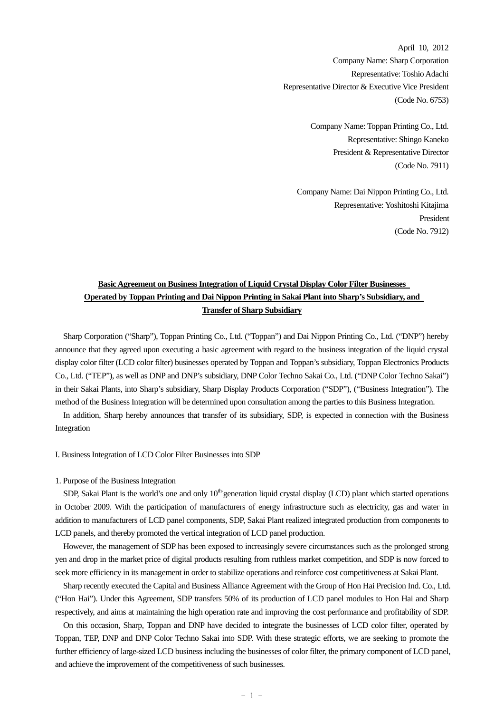April 10, 2012 Company Name: Sharp Corporation Representative: Toshio Adachi Representative Director & Executive Vice President (Code No. 6753)

> Company Name: Toppan Printing Co., Ltd. Representative: Shingo Kaneko President & Representative Director (Code No. 7911)

Company Name: Dai Nippon Printing Co., Ltd. Representative: Yoshitoshi Kitajima President (Code No. 7912)

# **Basic Agreement on Business Integration of Liquid Crystal Display Color Filter Businesses Operated by Toppan Printing and Dai Nippon Printing in Sakai Plant into Sharp's Subsidiary, and Transfer of Sharp Subsidiary**

Sharp Corporation ("Sharp"), Toppan Printing Co., Ltd. ("Toppan") and Dai Nippon Printing Co., Ltd. ("DNP") hereby announce that they agreed upon executing a basic agreement with regard to the business integration of the liquid crystal display color filter (LCD color filter) businesses operated by Toppan and Toppan's subsidiary, Toppan Electronics Products Co., Ltd. ("TEP"), as well as DNP and DNP's subsidiary, DNP Color Techno Sakai Co., Ltd. ("DNP Color Techno Sakai") in their Sakai Plants, into Sharp's subsidiary, Sharp Display Products Corporation ("SDP"), ("Business Integration"). The method of the Business Integration will be determined upon consultation among the parties to this Business Integration.

In addition, Sharp hereby announces that transfer of its subsidiary, SDP, is expected in connection with the Business Integration

I. Business Integration of LCD Color Filter Businesses into SDP

#### 1. Purpose of the Business Integration

SDP, Sakai Plant is the world's one and only  $10<sup>th</sup>$  generation liquid crystal display (LCD) plant which started operations in October 2009. With the participation of manufacturers of energy infrastructure such as electricity, gas and water in addition to manufacturers of LCD panel components, SDP, Sakai Plant realized integrated production from components to LCD panels, and thereby promoted the vertical integration of LCD panel production.

However, the management of SDP has been exposed to increasingly severe circumstances such as the prolonged strong yen and drop in the market price of digital products resulting from ruthless market competition, and SDP is now forced to seek more efficiency in its management in order to stabilize operations and reinforce cost competitiveness at Sakai Plant.

 Sharp recently executed the Capital and Business Alliance Agreement with the Group of Hon Hai Precision Ind. Co., Ltd. ("Hon Hai"). Under this Agreement, SDP transfers 50% of its production of LCD panel modules to Hon Hai and Sharp respectively, and aims at maintaining the high operation rate and improving the cost performance and profitability of SDP.

 On this occasion, Sharp, Toppan and DNP have decided to integrate the businesses of LCD color filter, operated by Toppan, TEP, DNP and DNP Color Techno Sakai into SDP. With these strategic efforts, we are seeking to promote the further efficiency of large-sized LCD business including the businesses of color filter, the primary component of LCD panel, and achieve the improvement of the competitiveness of such businesses.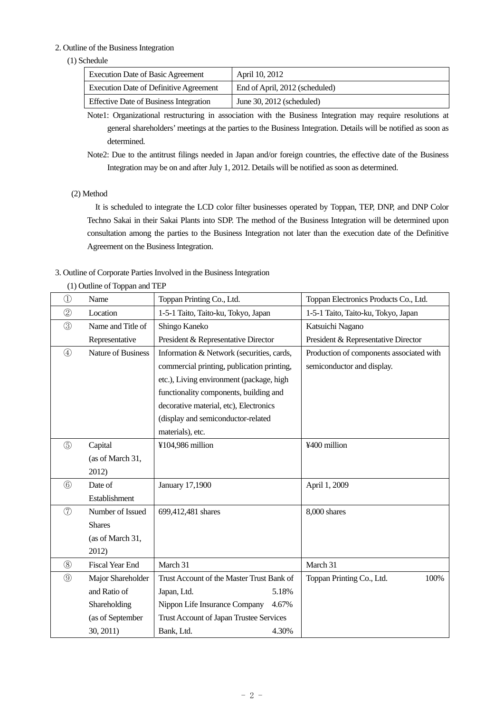## 2. Outline of the Business Integration

## (1) Schedule

| Execution Date of Basic Agreement             | April 10, 2012                 |
|-----------------------------------------------|--------------------------------|
| <b>Execution Date of Definitive Agreement</b> | End of April, 2012 (scheduled) |
| <b>Effective Date of Business Integration</b> | June $30, 2012$ (scheduled)    |

Note1: Organizational restructuring in association with the Business Integration may require resolutions at general shareholders' meetings at the parties to the Business Integration. Details will be notified as soon as determined.

Note2: Due to the antitrust filings needed in Japan and/or foreign countries, the effective date of the Business Integration may be on and after July 1, 2012. Details will be notified as soon as determined.

## (2) Method

 It is scheduled to integrate the LCD color filter businesses operated by Toppan, TEP, DNP, and DNP Color Techno Sakai in their Sakai Plants into SDP. The method of the Business Integration will be determined upon consultation among the parties to the Business Integration not later than the execution date of the Definitive Agreement on the Business Integration.

## 3. Outline of Corporate Parties Involved in the Business Integration

| $^{\textcircled{\scriptsize{1}}}$ | Name                   | Toppan Printing Co., Ltd.                  | Toppan Electronics Products Co., Ltd.    |
|-----------------------------------|------------------------|--------------------------------------------|------------------------------------------|
| $^{\circledR}$                    | Location               | 1-5-1 Taito, Taito-ku, Tokyo, Japan        | 1-5-1 Taito, Taito-ku, Tokyo, Japan      |
| $\circled{3}$                     | Name and Title of      | Shingo Kaneko                              | Katsuichi Nagano                         |
|                                   | Representative         | President & Representative Director        | President & Representative Director      |
| $\circled{4}$                     | Nature of Business     | Information & Network (securities, cards,  | Production of components associated with |
|                                   |                        | commercial printing, publication printing, | semiconductor and display.               |
|                                   |                        | etc.), Living environment (package, high   |                                          |
|                                   |                        | functionality components, building and     |                                          |
|                                   |                        | decorative material, etc), Electronics     |                                          |
|                                   |                        | (display and semiconductor-related         |                                          |
|                                   |                        | materials), etc.                           |                                          |
| $\circledS$                       | Capital                | ¥104,986 million                           | ¥400 million                             |
|                                   | (as of March 31,       |                                            |                                          |
|                                   | 2012)                  |                                            |                                          |
| $\circled6$                       | Date of                | January 17,1900                            | April 1, 2009                            |
|                                   | Establishment          |                                            |                                          |
| (7)                               | Number of Issued       | 699,412,481 shares                         | 8,000 shares                             |
|                                   | <b>Shares</b>          |                                            |                                          |
|                                   | (as of March 31,       |                                            |                                          |
|                                   | 2012)                  |                                            |                                          |
| (8)                               | <b>Fiscal Year End</b> | March 31                                   | March 31                                 |
| $\circled{0}$                     | Major Shareholder      | Trust Account of the Master Trust Bank of  | 100%<br>Toppan Printing Co., Ltd.        |
|                                   | and Ratio of           | Japan, Ltd.<br>5.18%                       |                                          |
|                                   | Shareholding           | Nippon Life Insurance Company<br>4.67%     |                                          |
|                                   | (as of September       | Trust Account of Japan Trustee Services    |                                          |
|                                   | 30, 2011)              | Bank, Ltd.<br>4.30%                        |                                          |

# (1) Outline of Toppan and TEP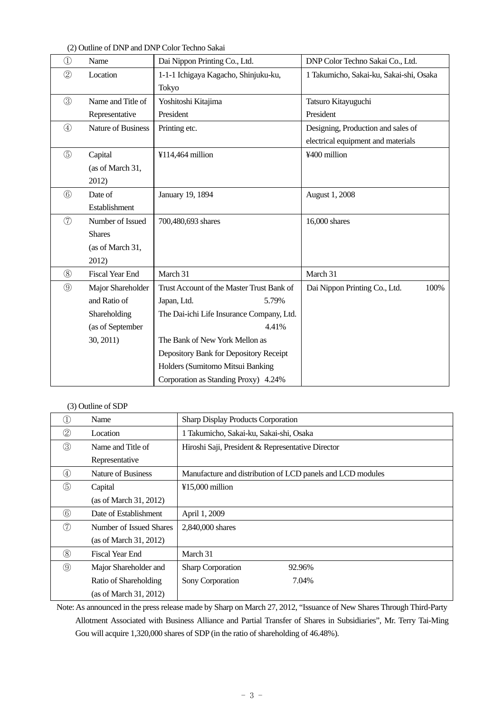(2) Outline of DNP and DNP Color Techno Sakai

| $^{\textcircled{\scriptsize{1}}}$ | Name                      | Dai Nippon Printing Co., Ltd.             | DNP Color Techno Sakai Co., Ltd.        |
|-----------------------------------|---------------------------|-------------------------------------------|-----------------------------------------|
| $^{\circledR}$                    | Location                  | 1-1-1 Ichigaya Kagacho, Shinjuku-ku,      | 1 Takumicho, Sakai-ku, Sakai-shi, Osaka |
|                                   |                           | Tokyo                                     |                                         |
| $\circled{3}$                     | Name and Title of         | Yoshitoshi Kitajima                       | Tatsuro Kitayuguchi                     |
|                                   | Representative            | President                                 | President                               |
| $\circled{4}$                     | <b>Nature of Business</b> | Printing etc.                             | Designing, Production and sales of      |
|                                   |                           |                                           | electrical equipment and materials      |
| $\circledS$                       | Capital                   | ¥114,464 million                          | ¥400 million                            |
|                                   | (as of March 31,          |                                           |                                         |
|                                   | 2012)                     |                                           |                                         |
| $\circled6$                       | Date of                   | January 19, 1894                          | August 1, 2008                          |
|                                   | Establishment             |                                           |                                         |
| $\circled{7}$                     | Number of Issued          | 700,480,693 shares                        | 16,000 shares                           |
|                                   | <b>Shares</b>             |                                           |                                         |
|                                   | (as of March 31,          |                                           |                                         |
|                                   | 2012)                     |                                           |                                         |
| (8)                               | <b>Fiscal Year End</b>    | March 31                                  | March 31                                |
| $\circled{9}$                     | Major Shareholder         | Trust Account of the Master Trust Bank of | Dai Nippon Printing Co., Ltd.<br>100%   |
|                                   | and Ratio of              | Japan, Ltd.<br>5.79%                      |                                         |
|                                   | Shareholding              | The Dai-ichi Life Insurance Company, Ltd. |                                         |
|                                   | (as of September          | 4.41%                                     |                                         |
|                                   | 30, 2011)                 | The Bank of New York Mellon as            |                                         |
|                                   |                           | Depository Bank for Depository Receipt    |                                         |
|                                   |                           | Holders (Sumitomo Mitsui Banking          |                                         |
|                                   |                           | Corporation as Standing Proxy) 4.24%      |                                         |

## (3) Outline of SDP

| Ί.             | Name                    | <b>Sharp Display Products Corporation</b>                  |  |
|----------------|-------------------------|------------------------------------------------------------|--|
| 2              | Location                | 1 Takumicho, Sakai-ku, Sakai-shi, Osaka                    |  |
| ③              | Name and Title of       | Hiroshi Saji, President & Representative Director          |  |
|                | Representative          |                                                            |  |
| $^{\circledR}$ | Nature of Business      | Manufacture and distribution of LCD panels and LCD modules |  |
| $\circledS$    | Capital                 | ¥15,000 million                                            |  |
|                | (as of March 31, 2012)  |                                                            |  |
| $\circled6$    | Date of Establishment   | April 1, 2009                                              |  |
| (7)            | Number of Issued Shares | 2,840,000 shares                                           |  |
|                | (as of March 31, 2012)  |                                                            |  |
| $\circledS$    | Fiscal Year End         | March 31                                                   |  |
| $\circledS$    | Major Shareholder and   | 92.96%<br><b>Sharp Corporation</b>                         |  |
|                | Ratio of Shareholding   | Sony Corporation<br>7.04%                                  |  |
|                | (as of March 31, 2012)  |                                                            |  |

Note: As announced in the press release made by Sharp on March 27, 2012, "Issuance of New Shares Through Third-Party Allotment Associated with Business Alliance and Partial Transfer of Shares in Subsidiaries", Mr. Terry Tai-Ming Gou will acquire 1,320,000 shares of SDP (in the ratio of shareholding of 46.48%).